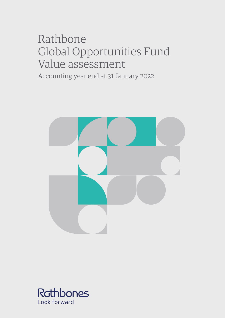# Rathbone Global Opportunities Fund Value assessment

Accounting year end at 31 January 2022



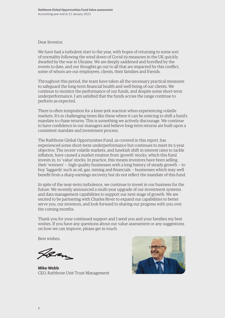Dear Investor,

We have had a turbulent start to the year, with hopes of returning to some sort of normality following the wind down of Covid-19 measures in the UK quickly dwarfed by the war in Ukraine. We are deeply saddened and horrified by the events to date, and our thoughts go out to all that are impacted by this conflict, some of whom are our employees, clients, their families and friends.

Throughout this period, the team have taken all the necessary practical measures to safeguard the long-term financial health and well-being of our clients. We continue to monitor the performance of our funds, and despite some short-term underperformance, I am satisfied that the funds across the range continue to perform as expected.

There is often temptation for a knee-jerk reaction when experiencing volatile markets. It's in challenging times like these where it can be enticing to shift a fund's mandate to chase returns. This is something we actively discourage. We continue to have confidence in our managers and believe long-term returns are built upon a consistent mandate and investment process.

The Rathbone Global Opportunities Fund, as covered in this report, has experienced some short-term underperformance but continues to meet its 5-year objective. The recent volatile markets, and hawkish shift in interest rates to tackle inflation, have caused a market rotation from 'growth' stocks, which this fund invests in, to 'value' stocks. In practice, this means investors have been selling their 'winners' — high-quality businesses with a long history of steady growth — to buy 'laggards' such as oil, gas, mining and financials — businesses which may well benefit from a sharp earnings recovery but do not reflect the mandate of this fund.

In spite of the near-term turbulence, we continue to invest in our business for the future. We recently announced a multi-year upgrade of our investment systems and data management capabilities to support our next stage of growth. We are excited to be partnering with Charles River to expand our capabilities to better serve you, our investors, and look forward to sharing our progress with you over the coming months.

Thank you for your continued support and I send you and your families my best wishes. If you have any questions about our value assessment or any suggestions on how we can improve, please get in touch.

Best wishes,

Ban

**Mike Webb** CEO, Rathbone Unit Trust Management

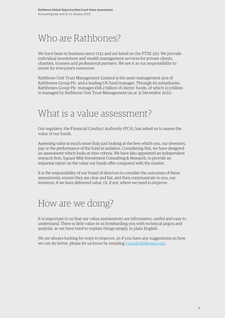### Who are Rathbones?

We have been in business since 1742 and are listed on the FTSE 250. We provide individual investment and wealth management services for private clients, charities, trustees and professional partners. We see it as our responsibility to invest for everyone's tomorrow.

Rathbone Unit Trust Management Limited is the asset management arm of Rathbones Group Plc. and a leading UK fund manager. Through its subsidiaries, Rathbones Group Plc. manages £68.2 billion of clients' funds, of which £13 billion is managed by Rathbone Unit Trust Management (as at 31 December 2021).

### What is a value assessment?

Our regulator, the Financial Conduct Authority (FCA), has asked us to assess the value of our funds.

Assessing value is much more than just looking at the fees which you, our investors, pay or the performance of the fund in isolation. Considering this, we have designed an assessment which looks at nine criteria. We have also appointed an independent research firm, Square Mile Investment Consulting & Research, to provide an impartial report on the value our funds offer compared with the market.

It is the responsibility of our board of directors to consider the outcomes of these assessments, ensure they are clear and fair, and then communicate to you, our investors, if we have delivered value. Or, if not, where we need to improve.

### How are we doing?

It is important to us that our value assessments are informative, useful and easy to understand. There is little value in us bombarding you with technical jargon and analysis, so we have tried to explain things simply, in plain English.

We are always looking for ways to improve, so if you have any suggestions on how we can do better, please let us know by emailing [rutm@rathbones.com.](mailto:rutm%40rathbones.com.?subject=)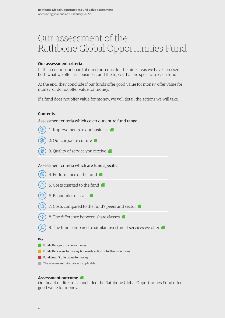### Our assessment of the Rathbone Global Opportunities Fund

#### **Our assessment criteria**

In this section, our board of directors consider the nine areas we have assessed, both what we offer as a business, and the topics that are specific to each fund.

At the end, they conclude if our funds offer good value for money, offer value for money, or do not offer value for money.

If a fund does not offer value for money, we will detail the actions we will take.

#### **Contents**

Assessment criteria which cover our entire fund range:

| 1. Improvements to our business                                |
|----------------------------------------------------------------|
| 2. Our corporate culture                                       |
| 3. Quality of service you receive                              |
| Assessment criteria which are fund specific:                   |
| 4. Performance of the fund                                     |
| 5. Costs charged to the fund                                   |
| 6. Economies of scale                                          |
| 7. Costs compared to the fund's peers and sector               |
| 8. The difference between share classes                        |
| 9. The fund compared to similar investment services we offer I |
| <b>Key</b>                                                     |
| Fund offers good value for money                               |

- Fund offers value for money but merits action or further monitoring
- Fund doesn't offer value for money
- The assessment criteria is not applicable

#### **Assessment outcome**

Our board of directors concluded the Rathbone Global Opportunities Fund offers good value for money.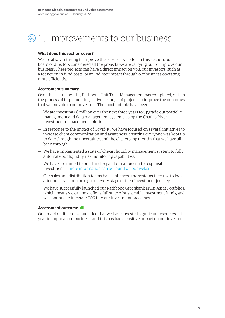### $\circledast$  1. Improvements to our business

#### **What does this section cover?**

We are always striving to improve the services we offer. In this section, our board of directors considered all the projects we are carrying out to improve our business. These projects can have a direct impact on you, our investors, such as a reduction in fund costs, or an indirect impact through our business operating more efficiently.

#### **Assessment summary**

Over the last 12 months, Rathbone Unit Trust Management has completed, or is in the process of implementing, a diverse range of projects to improve the outcomes that we provide to our investors. The most notable have been:

- We are investing  $\epsilon$ 6 million over the next three years to upgrade our portfolio management and data management systems using the Charles River investment management solution.
- In response to the impact of Covid-19, we have focused on several initiatives to increase client communication and awareness, ensuring everyone was kept up to date through the uncertainty, and the challenging months that we have all been through.
- We have implemented a state-of-the-art liquidity management system to fully automate our liquidity risk monitoring capabilities.
- We have continued to build and expand our approach to responsible investment — [more information can be found on our website.](https://www.rathbones.com/investment-approach/responsible-investment/responsible-investment-at-Rathbones
)
- Our sales and distribution teams have enhanced the systems they use to look after our investors throughout every stage of their investment journey.
- We have successfully launched our Rathbone Greenbank Multi-Asset Portfolios, which means we can now offer a full suite of sustainable investment funds, and we continue to integrate ESG into our investment processes.

#### **Assessment outcome**

Our board of directors concluded that we have invested significant resources this year to improve our business, and this has had a positive impact on our investors.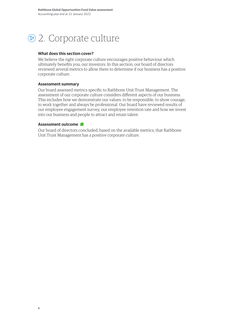### 2. Corporate culture

#### **What does this section cover?**

We believe the right corporate culture encourages positive behaviour which ultimately benefits you, our investors. In this section, our board of directors reviewed several metrics to allow them to determine if our business has a positive corporate culture.

#### **Assessment summary**

Our board assessed metrics specific to Rathbone Unit Trust Management. The assessment of our corporate culture considers different aspects of our business. This includes how we demonstrate our values: to be responsible, to show courage, to work together and always be professional. Our board have reviewed results of our employee engagement survey, our employee retention rate and how we invest into our business and people to attract and retain talent.

#### **Assessment outcome**

Our board of directors concluded, based on the available metrics, that Rathbone Unit Trust Management has a positive corporate culture.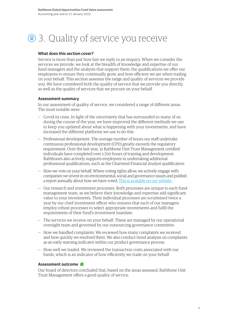## **2** 3. Quality of service you receive

#### **What does this section cover?**

Service is more than just how fast we reply to an enquiry. When we consider the services we provide, we look at the breadth of knowledge and expertise of our fund managers and the analysts that support them, the qualifications we offer our employees to ensure they continually grow, and how efficient we are when trading on your behalf. This section assesses the range and quality of services we provide you. We have considered both the quality of service that we provide you directly, as well as the quality of services that we procure on your behalf.

#### **Assessment summary**

In our assessment of quality of service, we considered a range of different areas. The most notable were:

- Covid-19 crisis. In light of the uncertainty that has surrounded so many of us during the course of the year, we have improved the different methods we use to keep you updated about what is happening with your investments, and have increased the different platforms we use to do this.
- Professional development. The average number of hours our staff undertake continuous professional development (CPD) greatly exceeds the regulatory requirement. Over the last year, 31 Rathbone Unit Trust Management certified individuals have completed over 1,700 hours of training and development. Rathbones also actively supports employees in undertaking additional professional qualifications, such as the Chartered Financial Analyst qualification.
- How we vote on your behalf. Where voting rights allow, we actively engage with companies we invest in on environmental, social and governance issues and publish a report annually about how we have voted. [This is available on our website.](https://www.rathbonefunds.com/sites/rathbonefunds.com/files/imce/6888_rathbones_stewardship_report_parc.pdf)
- Our research and investment processes. Both processes are unique to each fund management team, as we believe their knowledge and expertise add significant value to your investments. Their individual processes are scrutinised twice a year by our chief investment officer who ensures that each of our managers employ robust processes to select appropriate investments and fulfil the requirements of their fund's investment mandate.
- The services we receive on your behalf. These are managed by our operational oversight team and governed by our outsourcing governance committee.
- How we handled complaints. We reviewed how many complaints we received and how quickly we resolved them. We also conduct trend analysis on complaints as an early warning indicator within our product governance process.
- How well we traded. We reviewed the transaction costs associated with our funds, which is an indicator of how efficiently we trade on your behalf.

#### **Assessment outcome**

Our board of directors concluded that, based on the areas assessed, Rathbone Unit Trust Management offers a good quality of service.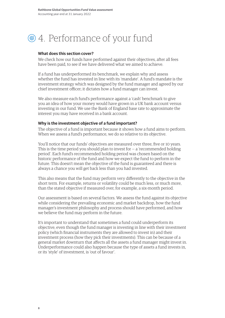### 4. Performance of your fund

#### **What does this section cover?**

We check how our funds have performed against their objectives, after all fees have been paid, to see if we have delivered what we aimed to achieve.

If a fund has underperformed its benchmark, we explain why and assess whether the fund has invested in line with its 'mandate'. A fund's mandate is the investment strategy which was designed by the fund manager and agreed by our chief investment officer; it dictates how a fund manager can invest.

We also measure each fund's performance against a 'cash' benchmark to give you an idea of how your money would have grown in a UK bank account versus investing in our fund. We use the Bank of England base rate to approximate the interest you may have received in a bank account.

#### **Why is the investment objective of a fund important?**

The objective of a fund is important because it shows how a fund aims to perform. When we assess a fund's performance, we do so relative to its objective.

You'll notice that our funds' objectives are measured over three, five or 10 years. This is the time period you should plan to invest for  $-$  a 'recommended holding period'. Each fund's recommended holding period was chosen based on the historic performance of the fund and how we expect the fund to perform in the future. This doesn't mean the objective of the fund is guaranteed and there is always a chance you will get back less than you had invested.

This also means that the fund may perform very differently to the objective in the short term. For example, returns or volatility could be much less, or much more, than the stated objective if measured over, for example, a six-month period.

Our assessment is based on several factors. We assess the fund against its objective while considering the prevailing economic and market backdrop, how the fund manager's investment philosophy and process should have performed, and how we believe the fund may perform in the future.

It's important to understand that sometimes a fund could underperform its objective, even though the fund manager is investing in line with their investment policy (which financial instruments they are allowed to invest in) and their investment process (how they pick their investments). This can be because of a general market downturn that affects all the assets a fund manager might invest in. Underperformance could also happen because the type of assets a fund invests in, or its 'style' of investment, is 'out of favour'.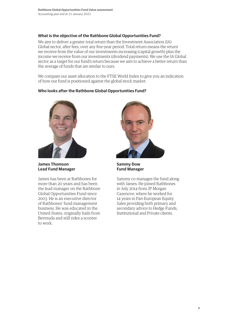#### **What is the objective of the Rathbone Global Opportunities Fund?**

We aim to deliver a greater total return than the Investment Association (IA) Global sector, after fees, over any five-year period. Total return means the return we receive from the value of our investments increasing (capital growth) plus the income we receive from our investments (dividend payments). We use the IA Global sector as a target for our fund's return because we aim to achieve a better return than the average of funds that are similar to ours.

We compare our asset allocation to the FTSE World Index to give you an indication of how our fund is positioned against the global stock market.

### **Who looks after the Rathbone Global Opportunities Fund?**



**James Thomson Lead Fund Manager**

James has been at Rathbones for more than 20 years and has been the lead manager on the Rathbone Global Opportunities Fund since 2003. He is an executive director of Rathbones' fund management business. He was educated in the United States, originally hails from Bermuda and still rides a scooter to work.



**Sammy Dow Fund Manager**

Sammy co-manages the fund along with James. He joined Rathbones in July 2014 from JP Morgan Cazenove, where he worked for 14 years in Pan-European Equity Sales providing both primary and secondary advice to Hedge Funds, Institutional and Private clients.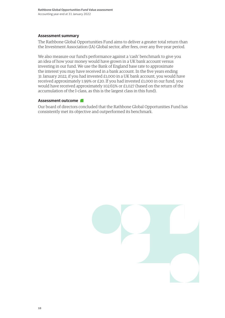#### **Assessment summary**

The Rathbone Global Opportunities Fund aims to deliver a greater total return than the Investment Association (IA) Global sector, after fees, over any five-year period.

We also measure our fund's performance against a 'cash' benchmark to give you an idea of how your money would have grown in a UK bank account versus investing in our fund. We use the Bank of England base rate to approximate the interest you may have received in a bank account. In the five years ending 31 January 2022, if you had invested £1,000 in a UK bank account, you would have received approximately 1.99% or £20. If you had invested £1,000 in our fund, you would have received approximately 102.65% or £1,027 (based on the return of the accumulation of the I-class, as this is the largest class in this fund).

#### **Assessment outcome**

Our board of directors concluded that the Rathbone Global Opportunities Fund has consistently met its objective and outperformed its benchmark.

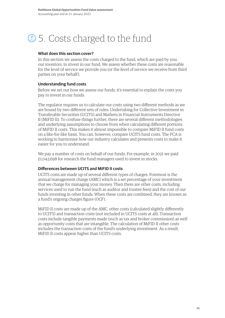#### 5. Costs charged to the fund £

#### **What does this section cover?**

In this section we assess the costs charged to the fund, which are paid by you, our investors, to invest in our fund. We assess whether these costs are reasonable for the level of service we provide you (or the level of service we receive from third parties on your behalf).

#### **Understanding fund costs**

Before we set out how we assess our funds, it's essential to explain the costs you pay to invest in our funds.

The regulator requires us to calculate our costs using two different methods as we are bound by two different sets of rules: Undertaking for Collective Investment in Transferable Securities (UCITS) and Markets in Financial Instruments Directive II (MiFID II). To confuse things further, there are several different methodologies and underlying assumptions to choose from when calculating different portions of MiFID II costs. This makes it almost impossible to compare MiFID II fund costs on a like-for-like basis. You can, however, compare UCITS fund costs. The FCA is working to harmonise how our industry calculates and presents costs to make it easier for you to understand.

We pay a number of costs on behalf of our funds. For example, in 2021 we paid £1,042,698 for research the fund managers used to invest in stocks.

#### **Differences between UCITS and MiFID II costs**

UCITS costs are made up of several different types of charges. Foremost is the annual management charge (AMC) which is a set percentage of your investment that we charge for managing your money. Then there are other costs, including services used to run the fund (such as auditor and trustee fees) and the cost of our funds investing in other funds. When these costs are combined, they are known as a fund's ongoing charges figure (OCF).

MiFID II costs are made up of the AMC, other costs (calculated slightly differently to UCITS) and transaction costs (not included in UCITS costs at all). Transaction costs include tangible payments made (such as tax and broker commission) as well as opportunity costs that are intangible. The calculation of MiFID II other costs includes the transaction costs of the fund's underlying investment. As a result, MiFID II costs appear higher than UCITS costs.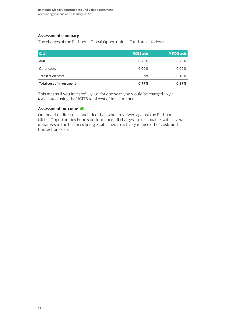#### **Assessment summary**

The charges of the Rathbone Global Opportunities Fund are as follows:

| <b>Cost</b>                     | <b>UCITS costs</b> | MiFID II costs |
|---------------------------------|--------------------|----------------|
| AMC                             | 0.75%              | 0.75%          |
| Other costs                     | 0.02%              | 0.02%          |
| <b>Transaction costs</b>        | n/a                | 0.10%          |
| <b>Total cost of investment</b> | 0.77%              | 0.87%          |

This means if you invested £1,000 for one year, you would be charged £7.70 (calculated using the UCITS total cost of investment).

#### **Assessment outcome**

Our board of directors concluded that, when reviewed against the Rathbone Global Opportunities Fund's performance, all charges are reasonable, with several initiatives in the business being established to actively reduce other costs and transaction costs.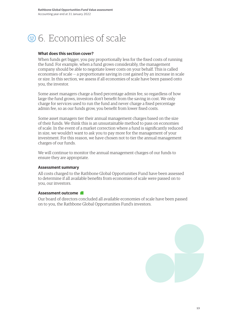### <sup>36</sup>. Economies of scale

#### **What does this section cover?**

When funds get bigger, you pay proportionally less for the fixed costs of running the fund. For example, when a fund grows considerably, the management company should be able to negotiate lower costs on your behalf. This is called economies of scale — a proportionate saving in cost gained by an increase in scale or size. In this section, we assess if all economies of scale have been passed onto you, the investor.

Some asset managers charge a fixed percentage admin fee, so regardless of how large the fund grows, investors don't benefit from the saving in cost. We only charge for services used to run the fund and never charge a fixed percentage admin fee, so as our funds grow, you benefit from lower fixed costs.

Some asset managers tier their annual management charges based on the size of their funds. We think this is an unsustainable method to pass on economies of scale. In the event of a market correction where a fund is significantly reduced in size, we wouldn't want to ask you to pay more for the management of your investment. For this reason, we have chosen not to tier the annual management charges of our funds.

We will continue to monitor the annual management charges of our funds to ensure they are appropriate.

#### **Assessment summary**

All costs charged to the Rathbone Global Opportunities Fund have been assessed to determine if all available benefits from economies of scale were passed on to you, our investors.

#### **Assessment outcome**

Our board of directors concluded all available economies of scale have been passed on to you, the Rathbone Global Opportunities Fund's investors.

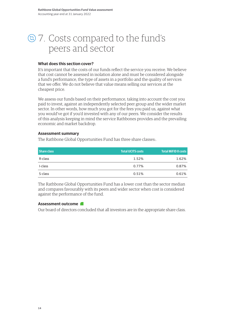### 7. Costs compared to the fund's peers and sector

#### **What does this section cover?**

It's important that the costs of our funds reflect the service you receive. We believe that cost cannot be assessed in isolation alone and must be considered alongside a fund's performance, the type of assets in a portfolio and the quality of services that we offer. We do not believe that value means selling our services at the cheapest price.

We assess our funds based on their performance, taking into account the cost you paid to invest, against an independently selected peer group and the wider market sector. In other words, how much you got for the fees you paid us, against what you would've got if you'd invested with any of our peers. We consider the results of this analysis keeping in mind the service Rathbones provides and the prevailing economic and market backdrop.

#### **Assessment summary**

The Rathbone Global Opportunities Fund has three share classes:.

| Share class | <b>Total UCITS costs</b> | <b>Total MiFID II costs</b> |
|-------------|--------------------------|-----------------------------|
| R-class     | 1.52%                    | 1.62%                       |
| I-class     | 0.77%                    | 0.87%                       |
| S-class     | 0.51%                    | 0.61%                       |

The Rathbone Global Opportunities Fund has a lower cost than the sector median and compares favourably with its peers and wider sector when cost is considered against the performance of the fund.

#### **Assessment outcome**

Our board of directors concluded that all investors are in the appropriate share class.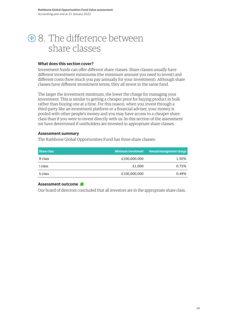### 8. The difference between share classes

#### **What does this section cover?**

Investment funds can offer different share classes. Share classes usually have different investment minimums (the minimum amount you need to invest) and different costs (how much you pay annually for your investment). Although share classes have different investment terms, they all invest in the same fund.

The larger the investment minimum, the lower the charge for managing your investment. This is similar to getting a cheaper price for buying product in bulk rather than buying one at a time. For this reason, when you invest through a third-party like an investment platform or a financial adviser, your money is pooled with other people's money and you may have access to a cheaper share class than if you were to invest directly with us. In this section of the assessment we have determined if unitholders are invested in appropriate share classes.

#### **Assessment summary**

The Rathbone Global Opportunities Fund has three share classes:

| <b>Share class</b> | <b>Minimum investment</b> | Annual management charge |
|--------------------|---------------------------|--------------------------|
| R-class            | £100,000,000              | 1.50%                    |
| I-class            | £1,000                    | 0.75%                    |
| S-class            | £100,000,000              | 0.49%                    |

#### **Assessment outcome**

Our board of directors concluded that all investors are in the appropriate share class.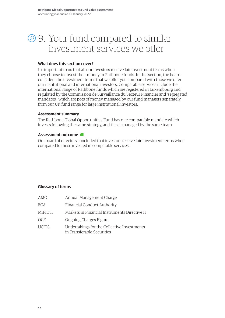### 9. Your fund compared to similar investment services we offer

#### **What does this section cover?**

It's important to us that all our investors receive fair investment terms when they choose to invest their money in Rathbone funds. In this section, the board considers the investment terms that we offer you compared with those we offer our institutional and international investors. Comparable services include the international range of Rathbone funds which are registered in Luxembourg and regulated by the Commission de Surveillance du Secteur Financier and 'segregated mandates', which are pots of money managed by our fund managers separately from our UK fund range for large institutional investors.

#### **Assessment summary**

The Rathbone Global Opportunities Fund has one comparable mandate which invests following the same strategy, and this is managed by the same team.

#### **Assessment outcome**

Our board of directors concluded that investors receive fair investment terms when compared to those invested in comparable services.

#### **Glossary of terms**

| AMC          | Annual Management Charge                                                  |
|--------------|---------------------------------------------------------------------------|
| <b>FCA</b>   | Financial Conduct Authority                                               |
| MiFID II     | Markets in Financial Instruments Directive II                             |
| OCF          | Ongoing Charges Figure                                                    |
| <b>UCITS</b> | Undertakings for the Collective Investments<br>in Transferable Securities |